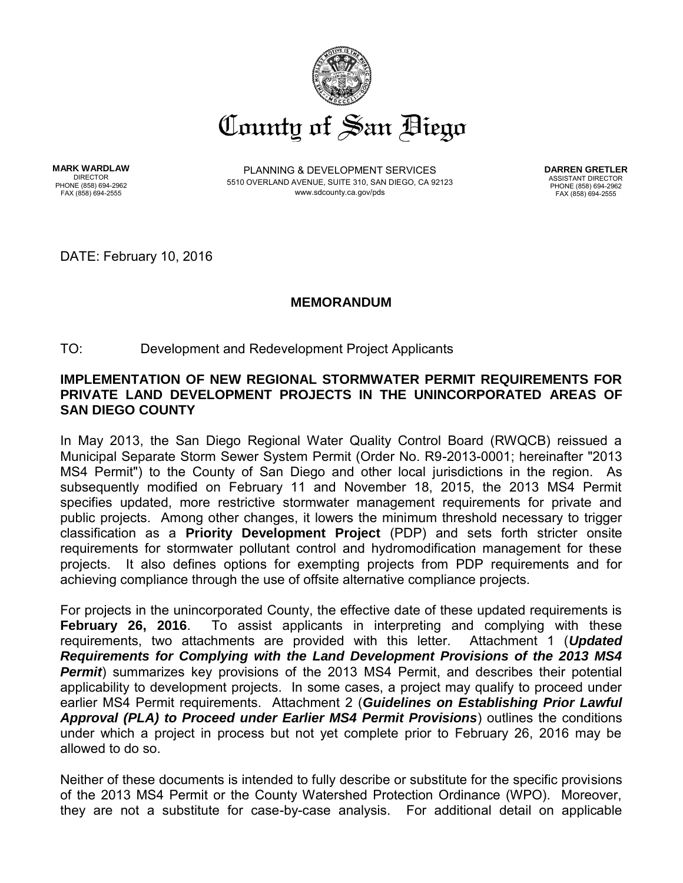

**MARK WARDLAW** DIRECTOR PHONE (858) 694-2962 FAX (858) 694-2555

PLANNING & DEVELOPMENT SERVICES 5510 OVERLAND AVENUE, SUITE 310, SAN DIEGO, CA 92123 www.sdcounty.ca.gov/pds

**DARREN GRETLER** ASSISTANT DIRECTOR PHONE (858) 694-2962 FAX (858) 694-2555

DATE: February 10, 2016

## **MEMORANDUM**

## TO: Development and Redevelopment Project Applicants

## **IMPLEMENTATION OF NEW REGIONAL STORMWATER PERMIT REQUIREMENTS FOR PRIVATE LAND DEVELOPMENT PROJECTS IN THE UNINCORPORATED AREAS OF SAN DIEGO COUNTY**

In May 2013, the San Diego Regional Water Quality Control Board (RWQCB) reissued a Municipal Separate Storm Sewer System Permit (Order No. R9-2013-0001; hereinafter "2013 MS4 Permit") to the County of San Diego and other local jurisdictions in the region. As subsequently modified on February 11 and November 18, 2015, the 2013 MS4 Permit specifies updated, more restrictive stormwater management requirements for private and public projects. Among other changes, it lowers the minimum threshold necessary to trigger classification as a **Priority Development Project** (PDP) and sets forth stricter onsite requirements for stormwater pollutant control and hydromodification management for these projects. It also defines options for exempting projects from PDP requirements and for achieving compliance through the use of offsite alternative compliance projects.

For projects in the unincorporated County, the effective date of these updated requirements is **February 26, 2016**. To assist applicants in interpreting and complying with these requirements, two attachments are provided with this letter. Attachment 1 (*Updated Requirements for Complying with the Land Development Provisions of the 2013 MS4 Permit*) summarizes key provisions of the 2013 MS4 Permit, and describes their potential applicability to development projects. In some cases, a project may qualify to proceed under earlier MS4 Permit requirements. Attachment 2 (*Guidelines on Establishing Prior Lawful Approval (PLA) to Proceed under Earlier MS4 Permit Provisions*) outlines the conditions under which a project in process but not yet complete prior to February 26, 2016 may be allowed to do so.

Neither of these documents is intended to fully describe or substitute for the specific provisions of the 2013 MS4 Permit or the County Watershed Protection Ordinance (WPO). Moreover, they are not a substitute for case-by-case analysis. For additional detail on applicable